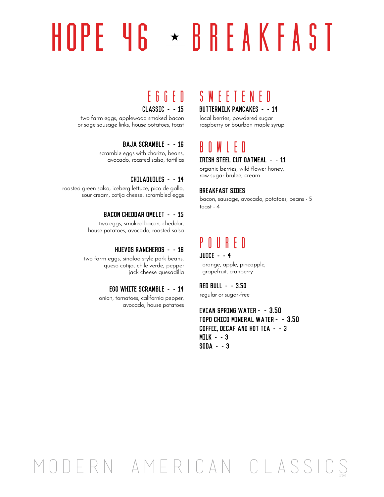# hope 46 BREAKFAST

### CLASSIC - - 15

two farm eggs, applewood smoked bacon or sage sausage links, house potatoes, toast

#### BAJA SCRAMBLE - - 16

scramble eggs with chorizo, beans, avocado, roasted salsa, tortillas

#### CHILAQUILES - - 14

roasted green salsa, iceberg lettuce, pico de gallo, sour cream, cotija cheese, scrambled eggs

#### BACON CHEDDAR OMELET - - 15

two eggs, smoked bacon, cheddar, house potatoes, avocado, roasted salsa

#### HUEVOS RANCHEROS - - 16

two farm eggs, sinaloa style pork beans, queso cotija, chile verde, pepper jack cheese quesadilla

#### EGG WHITE SCRAMBLE - - 14

onion, tomatoes, california pepper, avocado, house potatoes

## egged sweetened

#### BUTTERMILK PANCAKES - - 14

local berries, powdered sugar raspberry or bourbon maple syrup

## bowled

IRISH STEEL CUT OATMEAL - - 11

organic berries, wild flower honey, raw sugar brulee, cream

#### BREAKFAST SIDES

bacon, sausage, avocado, potatoes, beans - 5 toast - 4

### poured

 $JUICE - - 4$ orange, apple, pineapple, grapefruit, cranberry

#### red bull - - 3.50

regular or sugar-free

#### Evian Spring Water- - 3.50 Topo Chico Mineral Water- - 3.50 coffee, decaf and hot tea - - 3 milk - - 3 soda - - 3

## modern american classics0321